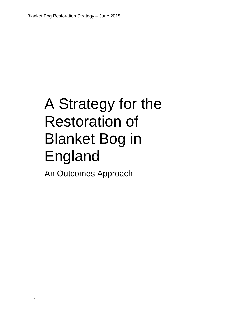# A Strategy for the Restoration of Blanket Bog in England

An Outcomes Approach

-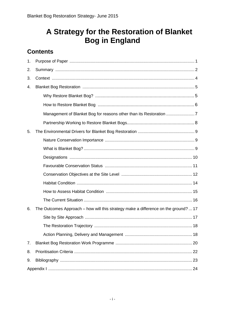## A Strategy for the Restoration of Blanket **Bog in England**

## **Contents**

| 1. |                                                                                     |
|----|-------------------------------------------------------------------------------------|
| 2. |                                                                                     |
| 3. |                                                                                     |
| 4. |                                                                                     |
|    |                                                                                     |
|    |                                                                                     |
|    | Management of Blanket Bog for reasons other than its Restoration                    |
|    |                                                                                     |
| 5. |                                                                                     |
|    |                                                                                     |
|    |                                                                                     |
|    |                                                                                     |
|    |                                                                                     |
|    |                                                                                     |
|    |                                                                                     |
|    |                                                                                     |
|    |                                                                                     |
| 6. | The Outcomes Approach – how will this strategy make a difference on the ground?  17 |
|    |                                                                                     |
|    |                                                                                     |
|    |                                                                                     |
| 7. |                                                                                     |
| 8. |                                                                                     |
| 9. |                                                                                     |
|    |                                                                                     |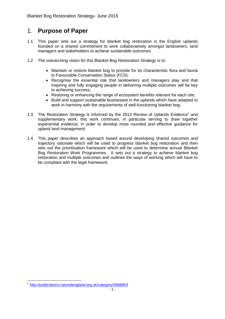## <span id="page-2-0"></span>1. **Purpose of Paper**

- 1.1 This paper sets out a strategy for blanket bog restoration in the English uplands founded on a shared commitment to work collaboratively amongst landowners, land managers and stakeholders to achieve sustainable outcomes.
- 1.2 The overarching vision for this Blanket Bog Restoration Strategy is to:
	- Maintain or restore blanket bog to provide for its characteristic flora and fauna to Favourable Conservation Status (FCS);
	- Recognise the essential role that landowners and managers play and that inspiring and fully engaging people in delivering multiple outcomes will be key to achieving success;
	- Restoring or enhancing the range of ecosystem benefits relevant for each site;
	- Build and support sustainable businesses in the uplands which have adapted to work in harmony with the requirements of well-functioning blanket bog.
- 1.3 The Restoration Strategy is informed by the 2013 Review of Uplands Evidence<sup>1</sup> and supplementary work; this work continues, in particular serving to draw together experiential evidence, in order to develop more rounded and effective guidance for upland land management.
- <span id="page-2-1"></span>1.4 This paper describes an approach based around developing shared outcomes and trajectory rationale which will be used to progress blanket bog restoration and then sets out the prioritisation framework which will be used to determine annual Blanket Bog Restoration Work Programmes. It sets out a strategy to achieve blanket bog restoration and multiple outcomes and outlines the ways of working which will have to be compliant with the legal framework.

<sup>1</sup> <sup>1</sup> <http://publications.naturalengland.org.uk/category/5968803>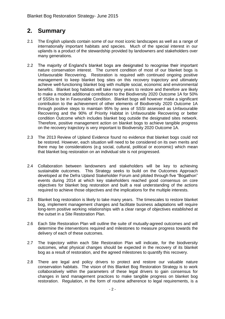## **2. Summary**

- 2.1 The English uplands contain some of our most iconic landscapes as well as a range of internationally important habitats and species. Much of the special interest in our uplands is a product of the stewardship provided by landowners and stakeholders over many generations.
- 2.2 The majority of England's blanket bogs are designated to recognise their important nature conservation interest. The current condition of most of our blanket bogs is Unfavourable Recovering. Restoration is required with continued ongoing positive management to keep blanket bog sites on this recovery trajectory and ultimately achieve well-functioning blanket bog with multiple social, economic and environmental benefits. Blanket bog habitats will take many years to restore and therefore are likely to make a modest additional contribution to the Biodiversity 2020 Outcome 1A for 50% of SSSIs to be in Favourable Condition. Blanket bogs will however make a significant contribution to the achievement of other elements of Biodiversity 2020 Outcome 1A through positive steps to maintain 95% by area of SSSI assessed as Unfavourable Recovering and the 90% of Priority Habitat in Unfavourable Recovering or better condition Outcome which includes blanket bog outside the designated sites network. Therefore, positive management action on blanket bogs to achieve tangible progress on the recovery trajectory is very important to Biodiversity 2020 Outcome 1A.
- 2.3 The 2013 Review of Upland Evidence found no evidence that blanket bogs could not be restored. However, each situation will need to be considered on its own merits and there may be considerations (e.g social, cultural, political or economic) which mean that blanket bog restoration on an individual site is not progressed.
- 2.4 Collaboration between landowners and stakeholders will be key to achieving sustainable outcomes. This Strategy seeks to build on the Outcomes Approach developed at the Defra Upland Stakeholder Forum and piloted through five "Bogathon" events during 2014 at which key stakeholders reached good consensus on core objectives for blanket bog restoration and built a real understanding of the actions required to achieve those objectives and the implications for the multiple interests.
- 2.5 Blanket bog restoration is likely to take many years. The timescales to restore blanket bog, implement management changes and facilitate business adaptations will require long-term positive working relationships with a clear range of objectives established at the outset in a Site Restoration Plan.
- 2.6 Each Site Restoration Plan will outline the suite of mutually-agreed outcomes and will determine the interventions required and milestones to measure progress towards the delivery of each of these outcomes.
- 2.7 The trajectory within each Site Restoration Plan will indicate, for the biodiversity outcomes, what physical changes should be expected in the recovery of its blanket bog as a result of restoration, and the agreed milestones to quantify this recovery.
- 2.8 There are legal and policy drivers to protect and restore our valuable nature conservation habitats. The vision of this Blanket Bog Restoration Strategy is to work collaboratively within the parameters of these legal drivers to gain consensus for changes in land management practices to make tangible progress on blanket bog restoration. Regulation, in the form of routine adherence to legal requirements, is a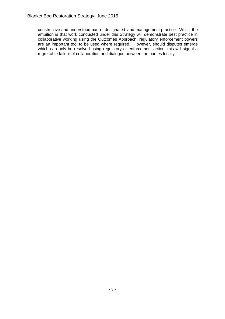<span id="page-4-0"></span>constructive and understood part of designated land management practice. Whilst the ambition is that work conducted under this Strategy will demonstrate best practice in collaborative working using the Outcomes Approach, regulatory enforcement powers are an important tool to be used where required. However, should disputes emerge which can only be resolved using regulatory or enforcement action, this will signal a regrettable failure of collaboration and dialogue between the parties locally.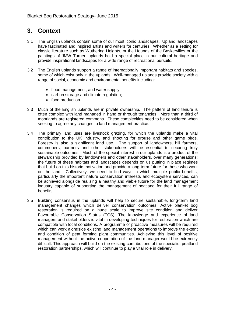## **3. Context**

- 3.1 The English uplands contain some of our most iconic landscapes. Upland landscapes have fascinated and inspired artists and writers for centuries. Whether as a setting for classic literature such as Wuthering Heights, or the Hounds of the Baskervilles or the paintings of JMW Turner, uplands hold a special place in our cultural heritage and provide inspirational landscapes for a wide range of recreational pursuits.
- 3.2 The English uplands support a range of internationally important habitats and species, some of which exist only in the uplands. Well-managed uplands provide society with a range of social, economic and environmental benefits including:
	- flood management, and water supply;
	- carbon storage and climate regulation;
	- food production.
- 3.3 Much of the English uplands are in private ownership. The pattern of land tenure is often complex with land managed in hand or through tenancies. More than a third of moorlands are registered commons. These complexities need to be considered when seeking to agree any changes to land management practice.
- 3.4 The primary land uses are livestock grazing, for which the uplands make a vital contribution to the UK industry, and shooting for grouse and other game birds. Forestry is also a significant land use. The support of landowners, hill farmers, commoners, partners and other stakeholders will be essential to securing truly sustainable outcomes. Much of the special interest in our uplands is a product of the stewardship provided by landowners and other stakeholders, over many generations; the future of these habitats and landscapes depends on us putting in place regimes that build on this historic motivation and provide a long-term future for those who work on the land. Collectively, we need to find ways in which multiple public benefits, particularly the important nature conservation interests and ecosystem services, can be achieved alongside realising a healthy and viable future for the land management industry capable of supporting the management of peatland for their full range of benefits.
- <span id="page-5-0"></span>3.5 Building consensus in the uplands will help to secure sustainable, long-term land management changes which deliver conservation outcomes. Active blanket bog restoration is required on a huge scale to improve site condition and deliver Favourable Conservation Status (FCS). The knowledge and experience of land managers and stakeholders is vital in developing techniques for restoration which are compatible with local conditions. A programme of proactive measures will be required which can work alongside existing land management operations to improve the extent and condition of peat forming plant communities. Achieving this level of positive management without the active cooperation of the land manager would be extremely difficult. This approach will build on the existing contributions of the specialist peatland restoration partnerships, which will continue to play a vital role in delivery.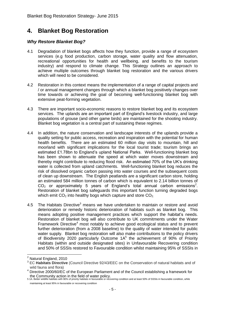## **4. Blanket Bog Restoration**

#### <span id="page-6-0"></span>*Why Restore Blanket Bog?*

- 4.1 Degradation of blanket bogs affects how they function, provide a range of ecosystem services (e.g food production, carbon storage, water quality and flow attenuation, recreational opportunities for health and wellbeing, and benefits to the tourism industry) and respond to climate change. This Strategy outlines an approach to achieve multiple outcomes through blanket bog restoration and the various drivers which will need to be considered.
- 4.2 Restoration in this context means the implementation of a range of capital projects and / or annual management changes through which a blanket bog positively changes over time towards or achieving the goal of becoming well-functioning blanket bog with extensive peat-forming vegetation.
- 4.3 There are important socio-economic reasons to restore blanket bog and its ecosystem services. The uplands are an important part of England's livestock industry, and large populations of grouse (and other game birds) are maintained for the shooting industry. Blanket bog vegetation is a central part of sustaining these regimes.
- 4.4 In addition, the nature conservation and landscape interests of the uplands provide a quality setting for public access, recreation and inspiration with the potential for human health benefits. There are an estimated 60 million day visits to mountain, hill and moorland with significant implications for the local tourist trade; tourism brings an estimated £1.78bn to England's upland National Parks. Well-functioning blanket bog has been shown to attenuate the speed at which water moves downstream and thereby might contribute to reducing flood risk. An estimated 70% of the UK's drinking water is collected from upland catchments. Well-functioning blanket bog reduces the risk of dissolved organic carbon passing into water courses and the subsequent costs of clean up downstream. The English peatlands are a significant carbon store, holding an estimated 584 million tonnes of carbon which is equivalent to 2.14 billion tonnes of  $CO<sub>2</sub>$  or approximately 5 years of England's total annual carbon emissions<sup>2</sup>. Restoration of blanket bog safeguards this important function turning degraded bogs which emit  $CO<sub>2</sub>$  into healthy bogs which capture and store  $CO<sub>2</sub>$ .
- 4.5 The Habitats Directive<sup>3</sup> means we have undertaken to maintain or restore and avoid deterioration or remedy historic deterioration of habitats such as blanket bog. This means adopting positive management practices which support the habitat's needs. Restoration of blanket bog will also contribute to UK commitments under the Water Framework Directive<sup>4</sup> most notably to achieve good ecological status and to prevent further deterioration (from a 2008 baseline) to the quality of water intended for public water supply. Blanket bog restoration will also make contributions to the policy drivers of Biodiversity 2020 particularly Outcome  $1A<sup>5</sup>$  the achievement of 90% of Priority Habitats (within and outside designated sites) in Unfavourable Recovering condition and 50% of SSSIs restored to Favourable condition whilst maintaining 95% of SSSIs in

<sup>1</sup> <sup>2</sup> Natural England, 2010

<sup>3</sup> EC **Habitats Directive** (Council Directive 92/43/EEC on the Conservation of natural habitats and of wild fauna and flora)

<sup>&</sup>lt;sup>4</sup> Directive 2000/60/EC of the European Parliament and of the Council establishing a framework for the Community action in the field of water policy.<br>5 1A. Better wildlife habitats with 90% of priority habitats in favourable or recovering condition and at least 50% of SSSIs in favourable condition, while

maintaining at least 95% in favourable or recovering condition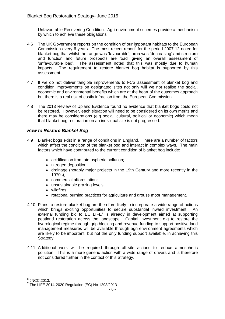Unfavourable Recovering Condition. Agri-environment schemes provide a mechanism by which to achieve these obligations.

- 4.6 The UK Government reports on the condition of our important habitats to the European Commission every 6 years. The most recent report $6$  for the period 2007-12 noted for blanket bog that whilst the range was 'favourable', area was 'decreasing' and structure and function and future prospects are 'bad' giving an overall assessment of 'unfavourable bad'. The assessment noted that this was mostly due to human impacts. The requirement to restore blanket bog habitat is supported by this assessment.
- 4.7 If we do not deliver tangible improvements to FCS assessment of blanket bog and condition improvements on designated sites not only will we not realise the social, economic and environmental benefits which are at the heart of the outcomes approach but there is a real risk of costly infraction from the European Commission.
- 4.8 The 2013 Review of Upland Evidence found no evidence that blanket bogs could not be restored. However, each situation will need to be considered on its own merits and there may be considerations (e.g social, cultural, political or economic) which mean that blanket bog restoration on an individual site is not progressed.

#### <span id="page-7-0"></span>*How to Restore Blanket Bog*

- 4.9 Blanket bogs exist in a range of conditions in England. There are a number of factors which affect the condition of the blanket bog and interact in complex ways. The main factors which have contributed to the current condition of blanket bog include:
	- acidification from atmospheric pollution;
	- nitrogen deposition;
	- drainage (notably major projects in the 19th Century and more recently in the 1970s);
	- commercial afforestation:
	- unsustainable grazing levels;
	- wildfires:
	- rotational burning practices for agriculture and grouse moor management.
- 4.10 Plans to restore blanket bog are therefore likely to incorporate a wide range of actions which brings exciting opportunities to secure substantial inward investment. An external funding bid to  $EU$  LIFE<sup>7</sup> is already in development aimed at supporting peatland restoration across the landscape. Capital investment e.g to restore the hydrological regime through grip blocking and revenue funding to support positive land management measures will be available through agri-environment agreements which are likely to be important, but not the only funding support available, in achieving this Strategy.
- 4.11 Additional work will be required through off-site actions to reduce atmospheric pollution. This is a more generic action with a wide range of drivers and is therefore not considered further in the context of this Strategy.

 6 JNCC,2013.

 $7$  The LIFE 2014-2020 Regulation (EC) No 1293/2013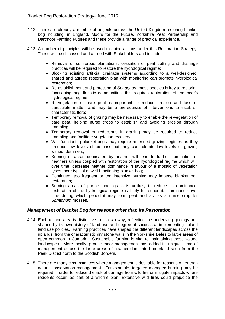- 4.12 There are already a number of projects across the United Kingdom restoring blanket bog including, in England, Moors for the Future, Yorkshire Peat Partnership and Dartmoor Farming Futures and these provide a range of practical experience.
- 4.13 A number of principles will be used to guide actions under this Restoration Strategy. These will be discussed and agreed with Stakeholders and include:
	- Removal of coniferous plantations, cessation of peat cutting and drainage practices will be required to restore the hydrological regime;
	- Blocking existing artificial drainage systems according to a well-designed, shared and agreed restoration plan with monitoring can promote hydrological restoration;
	- Re-establishment and protection of *Sphagnum* moss species is key to restoring functioning bog floristic communities, this requires restoration of the peat's hydrological regime;
	- Re-vegetation of bare peat is important to reduce erosion and loss of particulate matter, and may be a prerequisite of interventions to establish characteristic flora;
	- Temporary removal of grazing may be necessary to enable the re-vegetation of bare peat, helping nurse crops to establish and avoiding erosion through trampling;
	- Temporary removal or reductions in grazing may be required to reduce trampling and facilitate vegetation recovery;
	- Well-functioning blanket bogs may require amended grazing regimes as they produce low levels of biomass but they can tolerate low levels of grazing without detriment;
	- Burning of areas dominated by heather will lead to further domination of heathers unless coupled with restoration of the hydrological regime which will, over time, decrease heather dominance in favour of a mosaic of vegetation types more typical of well-functioning blanket bog;
	- Continued, too frequent or too intensive burning may impede blanket bog restoration;
	- Burning areas of purple moor grass is unlikely to reduce its dominance, restoration of the hydrological regime is likely to reduce its dominance over time during which period it may form peat and act as a nurse crop for *Sphagnum* mosses.

#### <span id="page-8-0"></span>*Management of Blanket Bog for reasons other than its Restoration*

- 4.14 Each upland area is distinctive in its own way, reflecting the underlying geology and shaped by its own history of land use and degree of success at implementing upland land use policies. Farming practices have shaped the different landscapes across the uplands, from the characteristic dry stone walls in the Yorkshire Dales to large areas of open common in Cumbria. Sustainable farming is vital to maintaining these valued landscapes. More locally, grouse moor management has added its unique blend of management across the large areas of heather dominated moorland seen from the Peak District north to the Scottish Borders.
- 4.15 There are many circumstances where management is desirable for reasons other than nature conservation management. For example, targeted managed burning may be required in order to reduce the risk of damage from wild fire or mitigate impacts where incidents occur, as part of a wildfire plan. Extensive wild fires could prejudice the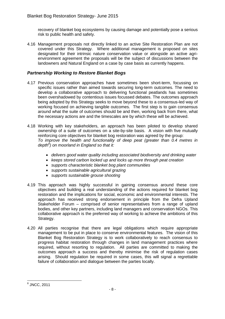recovery of blanket bog ecosystems by causing damage and potentially pose a serious risk to public health and safety.

4.16 Management proposals not directly linked to an active Site Restoration Plan are not covered under this Strategy. Where additional management is proposed on sites designated for their intrinsic nature conservation value or alongside an active agrienvironment agreement the proposals will be the subject of discussions between the landowners and Natural England on a case by case basis as currently happens.

#### <span id="page-9-0"></span>*Partnership Working to Restore Blanket Bogs*

- 4.17 Previous conservation approaches have sometimes been short-term, focussing on specific issues rather than aimed towards securing long-term outcomes. The need to develop a collaborative approach to delivering functional peatlands has sometimes been overshadowed by contentious issues focussed debates. The outcomes approach being adopted by this Strategy seeks to move beyond these to a consensus-led way of working focused on achieving tangible outcomes. The first step is to gain consensus around what the suite of outcomes should be and then, working back from there, what the necessary actions are and the timescales are by which these will be achieved.
- 4.18 Working with key stakeholders, an approach has been piloted to develop shared ownership of a suite of outcomes on a site-by-site basis. A vision with five mutually reinforcing core objectives for blanket bog restoration was agreed by the group: *To improve the health and functionality of deep peat (greater than 0.4 metres in depth<sup>8</sup> ) on moorland in England so that it:* 
	- *delivers good water quality including associated biodiversity and drinking water*
	- *keeps stored carbon locked up and locks up more through peat creation*
	- *supports characteristic blanket bog plant communities*
	- *supports sustainable agricultural grazing*
	- *supports sustainable grouse shooting*
- 4.19 This approach was highly successful in gaining consensus around these core objectives and building a real understanding of the actions required for blanket bog restoration and the implications for social, economic and environmental interests. The approach has received strong endorsement in principle from the Defra Upland Stakeholder Forum – comprised of senior representatives from a range of upland bodies, and other key partners, including land managers and conservation NGOs. This collaborative approach is the preferred way of working to achieve the ambitions of this Strategy.
- 4.20 All parties recognise that there are legal obligations which require appropriate management to be put in place to conserve environmental features. The vision of this Blanket Bog Restoration Strategy is to work collaboratively to reach consensus to progress habitat restoration through changes in land management practices where required, without resorting to regulation. All parties are committed to making the outcomes approach a success and thereby minimise the risk of regulation cases arising. Should regulation be required in some cases, this will signal a regrettable failure of collaboration and dialogue between the parties locally.

<span id="page-9-1"></span><sup>1</sup>  $^8$  JNCC, 2011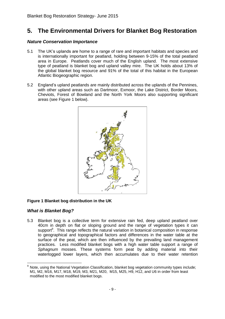## **5. The Environmental Drivers for Blanket Bog Restoration**

#### <span id="page-10-0"></span>*Nature Conservation Importance*

- 5.1 The UK's uplands are home to a range of rare and important habitats and species and is internationally important for peatland, holding between 9-15% of the total peatland area in Europe. Peatlands cover much of the English upland. The most extensive type of peatland is blanket bog and upland valley mire. The UK holds about 13% of the global blanket bog resource and 91% of the total of this habitat in the European Atlantic Biogeographic region.
- 5.2 England's upland peatlands are mainly distributed across the uplands of the Pennines, with other upland areas such as Dartmoor, Exmoor, the Lake District, Border Moors, Cheviots, Forest of Bowland and the North York Moors also supporting significant areas (see Figure 1 below).



#### **Figure 1 Blanket bog distribution in the UK**

#### <span id="page-10-1"></span>*What is Blanket Bog?*

5.3 Blanket bog is a collective term for extensive rain fed, deep upland peatland over 40cm in depth on flat or sloping ground and the range of vegetation types it can support<sup>9</sup>. This range reflects the natural variation in botanical composition in response to geographical and topographical factors and differences in the water table at the surface of the peat, which are then influenced by the prevailing land management practices. Less modified blanket bogs with a high water table support a range of *Sphagnum* mosses. These systems form peat by adding material into their waterlogged lower layers, which then accumulates due to their water retention

<sup>1</sup> Note, using the National Vegetation Classification, blanket bog vegetation community types include; M1, M2, M16, M17, M18, M19, M3, M21, M20, M15, M25, H9, H12, and U6 in order from least modified to the most modified blanket bogs.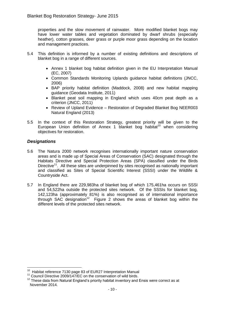properties and the slow movement of rainwater. More modified blanket bogs may have lower water tables and vegetation dominated by dwarf shrubs (especially heather), cotton grasses, deer grass or purple moor grass depending on the location and management practices.

- 5.4 This definition is informed by a number of existing definitions and descriptions of blanket bog in a range of different sources.
	- Annex 1 blanket bog habitat definition given in the EU Interpretation Manual (EC, 2007)
	- Common Standards Monitoring Uplands guidance habitat definitions (JNCC, 2006)
	- BAP priority habitat definition (Maddock, 2008) and new habitat mapping guidance (Geodata Institute, 2011)
	- Blanket peat soil mapping in England which uses 40cm peat depth as a criterion (JNCC, 2011)
	- Review of Upland Evidence Restoration of Degraded Blanket Bog NEER003 Natural England (2013)
- 5.5 In the context of this Restoration Strategy, greatest priority will be given to the European Union definition of Annex 1 blanket bog habitat<sup>10</sup> when considering objectives for restoration.

#### <span id="page-11-0"></span>*Designations*

- 5.6 The Natura 2000 network recognises internationally important nature conservation areas and is made up of Special Areas of Conservation (SAC) designated through the Habitats Directive and Special Protection Areas (SPA) classified under the Birds Directive<sup>11</sup>. All these sites are underpinned by sites recognised as nationally important and classified as Sites of Special Scientific Interest (SSSI) under the Wildlife & Countryside Act.
- 5.7 In England there are 229,983ha of blanket bog of which 175,461ha occurs on SSSI and 54,522ha outside the protected sites network. Of the SSSIs for blanket bog, 142,123ha (approximately 81%) is also recognised as of international importance through SAC designation<sup>12</sup> Figure 2 shows the areas of blanket bog within the different levels of the protected sites network.

<sup>1</sup> <sup>10</sup> Habitat reference 7130 page 83 of EUR27 Interpretation Manual

<sup>&</sup>lt;sup>11</sup> Council Directive 2009/147/EC on the conservation of wild birds.

 $12$  These data from Natural England's priority habitat inventory and Ensis were correct as at November 2014.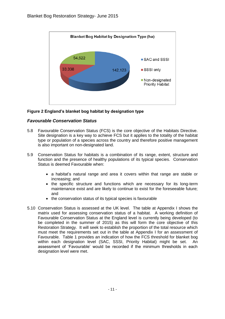

#### **Figure 2 England's blanket bog habitat by designation type**

#### <span id="page-12-0"></span>*Favourable Conservation Status*

- 5.8 Favourable Conservation Status (FCS) is the core objective of the Habitats Directive. Site designation is a key way to achieve FCS but it applies to the totality of the habitat type or population of a species across the country and therefore positive management is also important on non-designated land.
- 5.9 Conservation Status for habitats is a combination of its range, extent, structure and function and the presence of healthy populations of its typical species. Conservation Status is deemed Favourable when:
	- a habitat's natural range and area it covers within that range are stable or increasing; and
	- the specific structure and functions which are necessary for its long-term maintenance exist and are likely to continue to exist for the foreseeable future; and
	- the conservation status of its typical species is favourable
- 5.10 Conservation Status is assessed at the UK level. The table at Appendix I shows the matrix used for assessing conservation status of a habitat. A working definition of Favourable Conservation Status at the England level is currently being developed (to be completed in the summer of 2015) as this will form the core objective of this Restoration Strategy. It will seek to establish the proportion of the total resource which must meet the requirements set out in the table at Appendix I for an assessment of Favourable. Table 1 provides an indication of how the FCS threshold for blanket bog within each designation level (SAC, SSSI, Priority Habitat) might be set. An assessment of 'Favourable' would be recorded if the minimum thresholds in each designation level were met.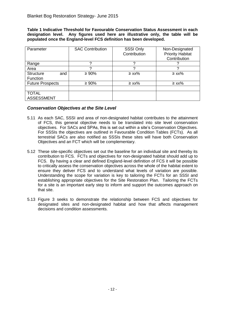**Table 1 Indicative Threshold for Favourable Conservation Status Assessment in each designation level. Any figures used here are illustrative only, the table will be populated once the England-level FCS definition has been developed.**

| Parameter               | <b>SAC Contribution</b> | <b>SSSI Only</b><br>Contribution | Non-Designated<br><b>Priority Habitat</b><br>Contribution |
|-------------------------|-------------------------|----------------------------------|-----------------------------------------------------------|
| Range                   | ∩                       | Ω                                |                                                           |
| Area                    | ∩                       | ◠                                |                                                           |
| <b>Structure</b><br>and | $\geq 90\%$             | $\geq$ xx%                       | $\geq$ xx%                                                |
| Function                |                         |                                  |                                                           |
| <b>Future Prospects</b> | $\geq 90\%$             | $\geq$ xx%                       | $\geq$ xx%                                                |
|                         |                         |                                  |                                                           |
| <b>TOTAL</b>            |                         |                                  |                                                           |
| <b>ASSESSMENT</b>       |                         |                                  |                                                           |

#### <span id="page-13-0"></span>*Conservation Objectives at the Site Level*

- 5.11 As each SAC, SSSI and area of non-designated habitat contributes to the attainment of FCS, this general objective needs to be translated into site level conservation objectives. For SACs and SPAs, this is set out within a site's Conservation Objectives. For SSSIs the objectives are outlined in Favourable Condition Tables (FCTs). As all terrestrial SACs are also notified as SSSIs these sites will have both Conservation Objectives and an FCT which will be complementary.
- 5.12 These site-specific objectives set out the baseline for an individual site and thereby its contribution to FCS. FCTs and objectives for non-designated habitat should add up to FCS. By having a clear and defined England-level definition of FCS it will be possible to critically assess the conservation objectives across the whole of the habitat extent to ensure they deliver FCS and to understand what levels of variation are possible. Understanding the scope for variation is key to tailoring the FCTs for an SSSI and establishing appropriate objectives for the Site Restoration Plan. Tailoring the FCTs for a site is an important early step to inform and support the outcomes approach on that site.
- 5.13 Figure 3 seeks to demonstrate the relationship between FCS and objectives for designated sites and non-designated habitat and how that affects management decisions and condition assessments.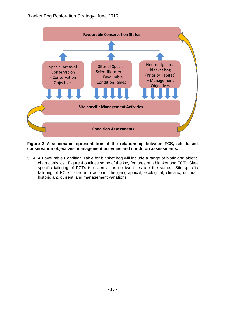

#### **Figure 3 A schematic representation of the relationship between FCS, site based conservation objectives, management activities and condition assessments.**

5.14 A Favourable Condition Table for blanket bog will include a range of biotic and abiotic characteristics. Figure 4 outlines some of the key features of a blanket bog FCT. Sitespecific tailoring of FCTs is essential as no two sites are the same. Site-specific tailoring of FCTs takes into account the geographical, ecological, climatic, cultural, historic and current land management variations.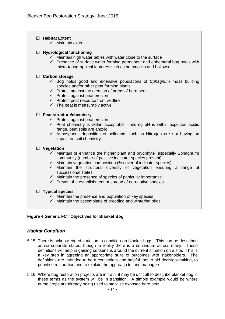#### **Habitat Extent**

 $\checkmark$  Maintain extent

#### **Hydrological functioning**

- $\checkmark$  Maintain high water tables with water close to the surface
- $\checkmark$  Presence of surface water forming permanent and ephemeral bog pools with micro-topographical features such as hummocks and hollows

#### **Carbon storage**

- Bog holds good and extensive populations of *Sphagnum* moss building species and/or other peat forming plants
- $\checkmark$  Protect against the creation of areas of bare peat
- $\checkmark$  Protect against peat erosion
- $\checkmark$  Protect peat resource from wildfire
- $\checkmark$  The peat is measurably active.

#### **Peat structure/chemistry**

- $\checkmark$  Protect against peat erosion
- $\checkmark$  Peat chemistry is within acceptable limits eg pH is within expected acidic range, peat soils are anoxic
- Atmospheric deposition of pollutants such as Nitrogen are not having an impact on soil chemistry

#### **Vegetation**

- $\checkmark$  Maintain or enhance the higher plant and bryophyte (especially Sphagnum) community (number of positive indicator species present)
- $\checkmark$  Maintain vegetation composition (% cover of indicator species)
- $\checkmark$  Maintain the structural diversity of vegetation ensuring a range of successional states
- $\checkmark$  Maintain the presence of species of particular importance
- $\checkmark$  Prevent the establishment or spread of non-native species

#### **Typical species**

- $\checkmark$  Maintain the presence and population of key species
- $\checkmark$  Maintain the assemblage of breeding and wintering birds

#### **Figure 4 Generic FCT Objectives for Blanket Bog**

#### <span id="page-15-0"></span>*Habitat Condition*

- 5.15 There is acknowledged variation in condition on blanket bogs. This can be described as six separate states, though in reality there is a continuum across many. These definitions will help in gaining consensus around the current situation on a site. This is a key step in agreeing an appropriate suite of outcomes with stakeholders. The definitions are intended to be a convenient and helpful tool to aid decision-making, to prioritise restoration and to explain the approach to land managers.
- 5.16 Where bog restoration projects are in train, it may be difficult to describe blanket bog in these terms as the system will be in transition. A simple example would be where nurse crops are already being used to stabilise exposed bare peat.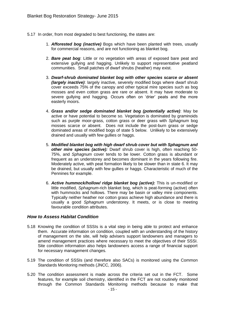- 5.17 In order, from most degraded to best functioning, the states are:
	- 1. *Afforested bog (inactive)* Bogs which have been planted with trees, usually for commercial reasons, and are not functioning as blanket bog.
	- 2. *Bare peat bog*: Little or no vegetation with areas of exposed bare peat and extensive gullying and hagging. Unlikely to support representative peatland communities. Small patches of dwarf shrubs (heather) may exist.
	- 3. *Dwarf-shrub dominated blanket bog with other species scarce or absent (largely inactive)*: largely inactive, severely modified bogs where dwarf shrub cover exceeds 75% of the canopy and other typical mire species such as bog mosses and even cotton grass are rare or absent. It may have moderate to severe gullying and hagging. Occurs often on 'drier' peats and the more easterly moors.
	- 4. *Grass and/or sedge dominated blanket bog (potentially active)*: May be active or have potential to become so. Vegetation is dominated by graminoids such as purple moor-grass, cotton grass or deer grass with *Sphagnum* bog mosses scarce or absent. Does not include the post-burn grass or sedge dominated areas of modified bogs of state 5 below. Unlikely to be extensively drained and usually with few gullies or haggs.
	- 5. *Modified blanket bog with high dwarf shrub cover but with Sphagnum and other mire species (active):* Dwarf shrub cover is high, often reaching 50- 75%, and *Sphagnum* cover tends to be lower. Cotton grass is abundant or frequent as an understorey and becomes dominant in the years following fire. Moderately active, with peat formation likely to be slower than in state 6. It may be drained, but usually with few gullies or haggs. Characteristic of much of the Pennines for example.
	- 6. *Active hummock/hollow/ ridge blanket bog (active):* This is un-modified or little modified, *Sphagnum*-rich blanket bog, which is peat-forming (active) often with hummocks and hollows. There may be basin or valley mire components. Typically neither heather nor cotton grass achieve high abundance and there is usually a good *Sphagnum* understorey. It meets, or is close to meeting favourable condition attributes.

#### <span id="page-16-0"></span>*How to Assess Habitat Condition*

- 5.18 Knowing the condition of SSSIs is a vital step in being able to protect and enhance them. Accurate information on condition, coupled with an understanding of the history of management on the site, will help advisers support landowners and managers to amend management practices where necessary to meet the objectives of their SSSI. Site condition information also helps landowners access a range of financial support for necessary management changes.
- 5.19 The condition of SSSIs (and therefore also SACs) is monitored using the Common Standards Monitoring methods (JNCC, 2006).
- 5.20 The condition assessment is made across the criteria set out in the FCT. Some features, for example soil chemistry, identified in the FCT are not routinely monitored through the Common Standards Monitoring methods because to make that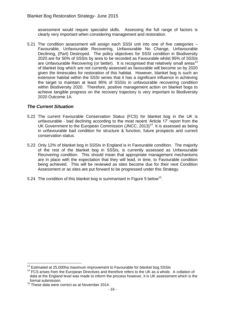assessment would require specialist skills. Assessing the full range of factors is clearly very important when considering management and restoration.

5.21 The condition assessment will assign each SSSI unit into one of five categories – Favourable, Unfavourable Recovering, Unfavourable No Change, Unfavourable Declining, (Part) Destroyed. The policy objectives for SSSI condition in Biodiversity 2020 are for 50% of SSSIs by area to be recorded as Favourable whilst 95% of SSSIs are Unfavourable Recovering (or better). It is recognised that relatively small areas<sup>13</sup> of blanket bog which are not currently assessed as favourable will become so by 2020 given the timescales for restoration of this habitat. However, blanket bog is such an extensive habitat within the SSSI series that it has a significant influence in achieving the target to maintain at least 95% of SSSIs in unfavourable recovering condition within Biodiversity 2020. Therefore, positive management action on blanket bogs to achieve tangible progress on the recovery trajectory is very important to Biodiversity 2020 Outcome 1A.

#### <span id="page-17-0"></span>*The Current Situation*

- 5.22 The current Favourable Conservation Status (FCS) for blanket bog in the UK is unfavourable - bad declining according to the most recent 'Article 17' report from the UK Government to the European Commission (JNCC,  $2013$ )<sup>14</sup>. It is assessed as being in unfavourable bad condition for structure & function, future prospects and current conservation status.
- 5.23 Only 12% of blanket bog in SSSIs in England is in Favourable condition. The majority of the rest of the blanket bog in SSSIs, is currently assessed as Unfavourable Recovering condition. This should mean that appropriate management mechanisms are in place with the expectation that they will lead, in time, to Favourable condition being achieved. This will be reviewed as sites become due for their next Condition Assessment or as sites are put forward to be progressed under this Strategy.
- 5.24 The condition of this blanket bog is summarised in Figure 5 below<sup>15</sup>.

1

 $13$  Estimated at 25,000ha maximum improvement to Favourable for blanket bog SSSIs

 $14$  FCS arises from the European Directives and therefore refers to the UK as a whole. A collation of data at the England level was made to inform the process however, it is UK assessment which is the formal submission.

<sup>&</sup>lt;sup>15</sup> These data were correct as at November 2014.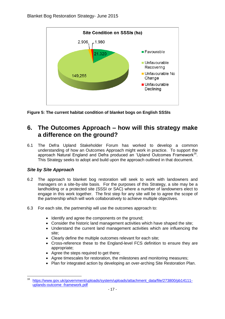

**Figure 5: The current habitat condition of blanket bogs on English SSSIs**

## <span id="page-18-0"></span>**6. The Outcomes Approach – how will this strategy make a difference on the ground?**

6.1 The Defra Upland Stakeholder Forum has worked to develop a common understanding of how an Outcomes Approach might work in practice. To support the approach Natural England and Defra produced an 'Upland Outcomes Framework<sup>16</sup>. This Strategy seeks to adopt and build upon the approach outlined in that document.

#### <span id="page-18-1"></span>*Site by Site Approach*

- 6.2 The approach to blanket bog restoration will seek to work with landowners and managers on a site-by-site basis. For the purposes of this Strategy, a site may be a landholding or a protected site (SSSI or SAC) where a number of landowners elect to engage in this work together. The first step for any site will be to agree the scope of the partnership which will work collaboratively to achieve multiple objectives.
- 6.3 For each site, the partnership will use the outcomes approach to:
	- Identify and agree the components on the ground;
	- Consider the historic land management activities which have shaped the site;
	- Understand the current land management activities which are influencing the site;
	- Clearly define the multiple outcomes relevant for each site;
	- Cross-reference these to the England-level FCS definition to ensure they are appropriate;
	- Agree the steps required to get there;
	- Agree timescales for restoration, the milestones and monitoring measures;
	- Plan for integrated action by developing an over-arching Site Restoration Plan.

 $16$ [https://www.gov.uk/government/uploads/system/uploads/attachment\\_data/file/273800/pb14111](https://www.gov.uk/government/uploads/system/uploads/attachment_data/file/273800/pb14111-%20uplands-outcome%20-framework.pdf) [uplands-outcome -framework.pdf](https://www.gov.uk/government/uploads/system/uploads/attachment_data/file/273800/pb14111-%20uplands-outcome%20-framework.pdf)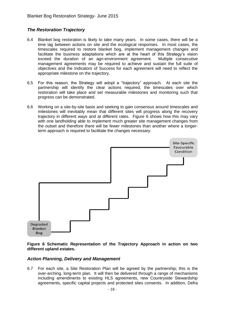#### <span id="page-19-0"></span>*The Restoration Trajectory*

- 6.4 Blanket bog restoration is likely to take many years. In some cases, there will be a time lag between actions on site and the ecological responses. In most cases, the timescales required to restore blanket bog, implement management changes and facilitate the business adaptations which are at the heart of this Strategy's vision exceed the duration of an agri-environment agreement. Multiple consecutive management agreements may be required to achieve and sustain the full suite of objectives and the Indicators of Success for each agreement will need to reflect the appropriate milestone on the trajectory.
- 6.5 For this reason, the Strategy will adopt a "trajectory" approach. At each site the partnership will identify the clear actions required, the timescales over which restoration will take place and set measurable milestones and monitoring such that progress can be demonstrated.
- 6.6 Working on a site-by-site basis and seeking to gain consensus around timescales and milestones will inevitably mean that different sites will progress along the recovery trajectory in different ways and at different rates. Figure 6 shows how this may vary with one landholding able to implement much greater site management changes from the outset and therefore there will be fewer milestones than another where a longerterm approach is required to facilitate the changes necessary.



#### **Figure 6 Schematic Representation of the Trajectory Approach in action on two different upland estates.**

#### <span id="page-19-1"></span>*Action Planning, Delivery and Management*

6.7 For each site, a Site Restoration Plan will be agreed by the partnership; this is the over-arching, long-term plan. It will then be delivered through a range of mechanisms including amendments to existing HLS agreements, new Countryside Stewardship agreements, specific capital projects and protected sites consents. In addition, Defra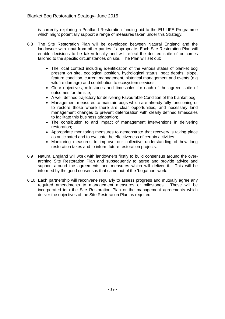is currently exploring a Peatland Restoration funding bid to the EU LIFE Programme which might potentially support a range of measures taken under this Strategy.

- 6.8 The Site Restoration Plan will be developed between Natural England and the landowner with input from other parties if appropriate. Each Site Restoration Plan will enable decisions to be taken locally and will reflect the desired suite of outcomes tailored to the specific circumstances on site. The Plan will set out:
	- The local context including identification of the various states of blanket bog present on site, ecological position, hydrological status, peat depths, slope, feature condition, current management, historical management and events (e.g wildfire damage) and contribution to ecosystem services:
	- Clear objectives, milestones and timescales for each of the agreed suite of outcomes for the site;
	- A well-defined trajectory for delivering Favourable Condition of the blanket bog;
	- Management measures to maintain bogs which are already fully functioning or to restore those where there are clear opportunities, and necessary land management changes to prevent deterioration with clearly defined timescales to facilitate this business adaptation;
	- The contribution to and impact of management interventions in delivering restoration;
	- Appropriate monitoring measures to demonstrate that recovery is taking place as anticipated and to evaluate the effectiveness of certain activities
	- Monitoring measures to improve our collective understanding of how long restoration takes and to inform future restoration projects.
- 6.9 Natural England will work with landowners firstly to build consensus around the overarching Site Restoration Plan and subsequently to agree and provide advice and support around the agreements and measures which will deliver it. This will be informed by the good consensus that came out of the 'bogathon' work.
- <span id="page-20-0"></span>6.10 Each partnership will reconvene regularly to assess progress and mutually agree any required amendments to management measures or milestones. These will be incorporated into the Site Restoration Plan or the management agreements which deliver the objectives of the Site Restoration Plan as required.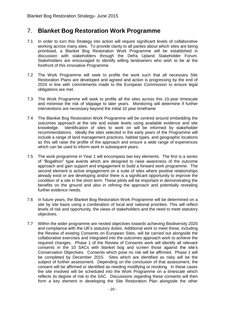### 7. **Blanket Bog Restoration Work Programme**

- 7.1 In order to turn this Strategy into action will require significant levels of collaborative working across many sites. To provide clarity to all parties about which sites are being prioritised, a Blanket Bog Restoration Work Programme will be established in discussion with stakeholders through the Defra Upland Stakeholder Forum. Stakeholders are encouraged to identify willing landowners who wish to be at the forefront of this innovative Programme.
- 7.2 The Work Programme will seek to profile the work such that all necessary Site Restoration Plans are developed and agreed and action is progressing by the end of 2024 in line with commitments made to the European Commission to ensure legal obligations are met.
- 7.3 The Work Programme will seek to profile all the sites across this 10-year timescale and minimise the risk of slippage to later years. Monitoring will determine if further interventions are necessary beyond the initial 10 year timeframe
- 7.4 The Blanket Bog Restoration Work Programme will be centred around embedding the outcomes approach at the site and estate levels using available evidence and site knowledge. Identification of sites to work on will be informed by stakeholder recommendations. Ideally the sites selected in the early years of the Programme will include a range of land management practices, habitat types, and geographic locations as this will raise the profile of the approach and ensure a wide range of experiences which can be used to inform work in subsequent years.
- 7.5 The work programme in Year 1 will encompass two key elements. The first is a series of "Bogathon" type events which are designed to raise awareness of the outcome approach and gain support and engagement to build a forward work programme. The second element is active engagement on a suite of sites where positive relationships already exist or are developing and/or there is a significant opportunity to improve the condition of a site in the short term. These pilots will be important in demonstrating the benefits on the ground and also in refining the approach and potentially revealing further evidence needs.
- 7.6 In future years, the Blanket Bog Restoration Work Programme will be determined on a site by site basis using a combination of local and national priorities. This will reflect levels of risk and opportunity, the views of stakeholders and the need to meet statutory objectives.
- 7.7 Within the wider programme are nested objectives towards achieving Biodiversity 2020 and compliance with the UK's statutory duties. Additional work to meet these, including the Review of existing Consents on European Sites, will be carried out alongside the collaborative exercises and integrated into the outcomes approach work to achieve the required changes. Phase 1 of the Review of Consents work will identify all relevant consents in the 10 SACs with blanket bog and screen those against the site's Conservation Objectives. Consents which pose no risk will be affirmed. Phase 1 will be completed by December 2015. Sites which are identified as risky will be the subject of further assessment. Depending on the conclusion of that assessment, the consent will be affirmed or identified as needing modifying or revoking. In these cases the site involved will be scheduled into the Work Programme on a timescale which reflects its degree of risk to the SAC. Discussions regarding these consents will then form a key element in developing the Site Restoration Plan alongside the other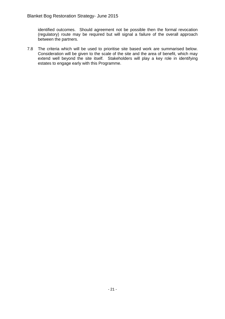identified outcomes. Should agreement not be possible then the formal revocation (regulatory) route may be required but will signal a failure of the overall approach between the partners.

<span id="page-22-0"></span>7.8 The criteria which will be used to prioritise site based work are summarised below. Consideration will be given to the scale of the site and the area of benefit, which may extend well beyond the site itself. Stakeholders will play a key role in identifying estates to engage early with this Programme.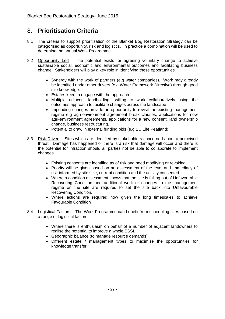## 8. **Prioritisation Criteria**

- 8.1 The criteria to support prioritisation of the Blanket Bog Restoration Strategy can be categorised as opportunity, risk and logistics. In practice a combination will be used to determine the annual Work Programme.
- 8.2 Opportunity Led The potential exists for agreeing voluntary change to achieve sustainable social, economic and environmental outcomes and facilitating business change. Stakeholders will play a key role in identifying these opportunities.
	- Synergy with the work of partners (e.g water companies). Work may already be identified under other drivers (e.g Water Framework Directive) through good site knowledge.
	- Estates keen to engage with the approach.
	- Multiple adjacent landholdings willing to work collaboratively using the outcomes approach to facilitate changes across the landscape
	- Impending changes provide an opportunity to revisit the existing management regime e.g agri-environment agreement break clauses, applications for new agri-environment agreements, applications for a new consent, land ownership change, business restructuring.
	- Potential to draw in external funding bids (e.g EU Life Peatland)
- 8.3 Risk Driven Sites which are identified by stakeholders concerned about a perceived threat. Damage has happened or there is a risk that damage will occur and there is the potential for infraction should all parties not be able to collaborate to implement changes.
	- Existing consents are identified as of risk and need modifying or revoking.
	- Priority will be given based on an assessment of the level and immediacy of risk informed by site size, current condition and the activity consented
	- Where a condition assessment shows that the site is falling out of Unfavourable Recovering Condition and additional work or changes to the management regime on the site are required to set the site back into Unfavourable Recovering Condition.
	- Where actions are required now given the long timescales to achieve Favourable Condition
- 8.4 Logistical Factors The Work Programme can benefit from scheduling sites based on a range of logistical factors.
	- Where there is enthusiasm on behalf of a number of adjacent landowners to realise the potential to improve a whole SSSI.
	- Geographic balance (to manage resource demands)
	- Different estate / management types to maximise the opportunities for knowledge transfer.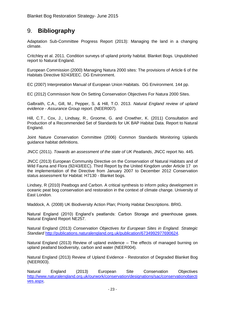## <span id="page-24-0"></span>9. **Bibliography**

Adaptation Sub-Committee Progress Report (2013): Managing the land in a changing climate.

Critchley et al. 2011. Condition surveys of upland priority habitat. Blanket Bogs. Unpublished report to Natural England.

European Commission (2000) Managing Natura 2000 sites: The provisions of Article 6 of the Habitats Directive 92/43/EEC. DG Environment.

EC (2007) Interpretation Manual of European Union Habitats. DG Environment. 144 pp.

EC (2012) Commission Note On Setting Conservation Objectives For Natura 2000 Sites.

Galbraith, C.A., Gill, M., Pepper, S. & Hill, T.O. 2013. *Natural England review of upland evidence - Assurance Group report*. (NEER007).

Hill, C.T., Cox, J., Lindsay, R., Groome, G. and Crowther, K. (2011) Consultation and Production of a Recommended Set of Standards for UK BAP Habitat Data. Report to Natural England.

Joint Nature Conservation Committee (2006) Common Standards Monitoring Uplands guidance habitat definitions.

JNCC (2011). *Towards an assessment of the state of UK Peatlands*, JNCC report No. 445.

JNCC (2013) European Community Directive on the Conservation of Natural Habitats and of Wild Fauna and Flora (92/43/EEC). Third Report by the United Kingdom under Article 17 on the implementation of the Directive from January 2007 to December 2012 Conservation status assessment for Habitat: H7130 - Blanket bogs.

Lindsey, R (2010) Peatbogs and Carbon. A critical synthesis to inform policy development in oceanic peat bog conservation and restoration in the context of climate change. University of East London.

Maddock, A. (2008) UK Biodiversity Action Plan; Priority Habitat Descriptions. BRIG.

Natural England (2010) England's peatlands: Carbon Storage and greenhouse gases. Natural England Report NE257.

Natural England (2013) *Conservation Objectives for European Sites in England. Strategic Standard* [http://publications.naturalengland.org.uk/publication/6734992977690624.](../AppData/Local/Microsoft/Windows/Temporary%20Internet%20Files/Content.Outlook/AppData/Local/Microsoft/Windows/Temporary%20Internet%20Files/m290562/AppData/Local/Microsoft/Windows/Temporary%20Internet%20Files/Content.Outlook/AppData/Local/Microsoft/Windows/Temporary%20Internet%20Files/AppData/Local/Microsoft/Windows/Temporary%20Internet%20Files/AppData/Local/Microsoft/Windows/Temporary%20Internet%20Files/Content.Outlook/AppData/Local/Microsoft/Windows/AppData/Roaming/Microsoft/Word/•http:/publications.naturalengland.org.uk/publication/6734992977690624)

Natural England (2013) Review of upland evidence – The effects of managed burning on upland peatland biodiversity, carbon and water (NEER004).

Natural England (2013) Review of Upland Evidence - Restoration of Degraded Blanket Bog (NEER003).

Natural England (2013) European Site Conservation Objectives [http://www.naturalengland.org.uk/ourwork/conservation/designations/sac/conservationobjecti](http://www.naturalengland.org.uk/ourwork/conservation/designations/sac/conservationobjectives.aspx) [ves.aspx.](http://www.naturalengland.org.uk/ourwork/conservation/designations/sac/conservationobjectives.aspx)